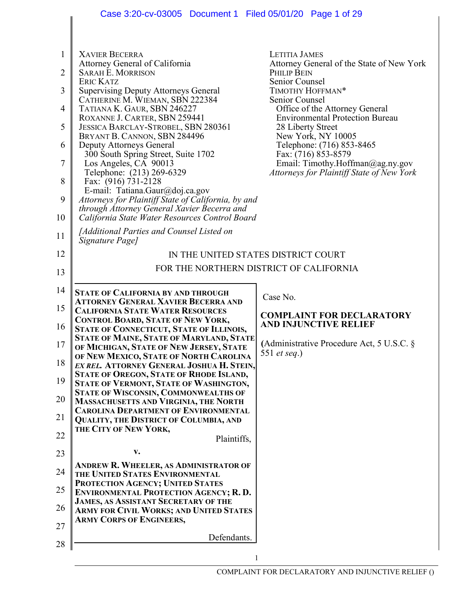|                | Case 3:20-cv-03005 Document 1 Filed 05/01/20 Page 1 of 29                                  |                                                                  |  |  |
|----------------|--------------------------------------------------------------------------------------------|------------------------------------------------------------------|--|--|
|                |                                                                                            |                                                                  |  |  |
|                |                                                                                            |                                                                  |  |  |
| 1              | <b>XAVIER BECERRA</b>                                                                      | <b>LETITIA JAMES</b>                                             |  |  |
|                | Attorney General of California                                                             | Attorney General of the State of New York                        |  |  |
| $\overline{2}$ | <b>SARAH E. MORRISON</b>                                                                   | PHILIP BEIN                                                      |  |  |
|                | <b>ERIC KATZ</b>                                                                           | Senior Counsel                                                   |  |  |
| 3              | <b>Supervising Deputy Attorneys General</b><br>CATHERINE M. WIEMAN, SBN 222384             | TIMOTHY HOFFMAN*<br>Senior Counsel                               |  |  |
| 4              | TATIANA K. GAUR, SBN 246227                                                                | Office of the Attorney General                                   |  |  |
|                | ROXANNE J. CARTER, SBN 259441                                                              | <b>Environmental Protection Bureau</b>                           |  |  |
| 5              | JESSICA BARCLAY-STROBEL, SBN 280361                                                        | 28 Liberty Street                                                |  |  |
|                | BRYANT B. CANNON, SBN 284496                                                               | New York, NY 10005                                               |  |  |
| 6              | Deputy Attorneys General<br>300 South Spring Street, Suite 1702                            | Telephone: (716) 853-8465<br>Fax: (716) 853-8579                 |  |  |
| 7              | Los Angeles, CA 90013                                                                      | Email: Timothy.Hoffman@ag.ny.gov                                 |  |  |
|                | Telephone: (213) 269-6329                                                                  | Attorneys for Plaintiff State of New York                        |  |  |
| 8              | Fax: (916) 731-2128                                                                        |                                                                  |  |  |
| 9              | E-mail: Tatiana.Gaur@doj.ca.gov<br>Attorneys for Plaintiff State of California, by and     |                                                                  |  |  |
|                | through Attorney General Xavier Becerra and                                                |                                                                  |  |  |
| 10             | California State Water Resources Control Board                                             |                                                                  |  |  |
|                | [Additional Parties and Counsel Listed on                                                  |                                                                  |  |  |
| 11             | Signature Page]                                                                            |                                                                  |  |  |
| 12             |                                                                                            | IN THE UNITED STATES DISTRICT COURT                              |  |  |
|                |                                                                                            | FOR THE NORTHERN DISTRICT OF CALIFORNIA                          |  |  |
| 13             |                                                                                            |                                                                  |  |  |
| 14             |                                                                                            |                                                                  |  |  |
|                | <b>STATE OF CALIFORNIA BY AND THROUGH</b><br><b>ATTORNEY GENERAL XAVIER BECERRA AND</b>    | Case No.                                                         |  |  |
| 15             | <b>CALIFORNIA STATE WATER RESOURCES</b>                                                    |                                                                  |  |  |
|                | <b>CONTROL BOARD, STATE OF NEW YORK,</b>                                                   | <b>COMPLAINT FOR DECLARATORY</b><br><b>AND INJUNCTIVE RELIEF</b> |  |  |
| 16             | STATE OF CONNECTICUT, STATE OF ILLINOIS,                                                   |                                                                  |  |  |
| 17             | <b>STATE OF MAINE, STATE OF MARYLAND, STATE</b><br>OF MICHIGAN, STATE OF NEW JERSEY, STATE | (Administrative Procedure Act, 5 U.S.C. §                        |  |  |
|                | OF NEW MEXICO, STATE OF NORTH CAROLINA                                                     | 551 et seq.)                                                     |  |  |
| 18             | EX REL. ATTORNEY GENERAL JOSHUA H. STEIN,                                                  |                                                                  |  |  |
| 19             | STATE OF OREGON, STATE OF RHODE ISLAND,                                                    |                                                                  |  |  |
|                | STATE OF VERMONT, STATE OF WASHINGTON,<br>STATE OF WISCONSIN, COMMONWEALTHS OF             |                                                                  |  |  |
| 20             | <b>MASSACHUSETTS AND VIRGINIA, THE NORTH</b>                                               |                                                                  |  |  |
|                | <b>CAROLINA DEPARTMENT OF ENVIRONMENTAL</b>                                                |                                                                  |  |  |
| 21             | QUALITY, THE DISTRICT OF COLUMBIA, AND                                                     |                                                                  |  |  |
| 22             | THE CITY OF NEW YORK,<br>Plaintiffs,                                                       |                                                                  |  |  |
|                |                                                                                            |                                                                  |  |  |
| 23             | V.                                                                                         |                                                                  |  |  |
| 24             | <b>ANDREW R. WHEELER, AS ADMINISTRATOR OF</b>                                              |                                                                  |  |  |
|                | THE UNITED STATES ENVIRONMENTAL<br>PROTECTION AGENCY; UNITED STATES                        |                                                                  |  |  |
| 25             | <b>ENVIRONMENTAL PROTECTION AGENCY; R. D.</b>                                              |                                                                  |  |  |
|                | <b>JAMES, AS ASSISTANT SECRETARY OF THE</b>                                                |                                                                  |  |  |
| 26             | <b>ARMY FOR CIVIL WORKS; AND UNITED STATES</b>                                             |                                                                  |  |  |
| 27             | <b>ARMY CORPS OF ENGINEERS,</b>                                                            |                                                                  |  |  |
|                | Defendants.                                                                                |                                                                  |  |  |
| 28             |                                                                                            |                                                                  |  |  |
|                |                                                                                            |                                                                  |  |  |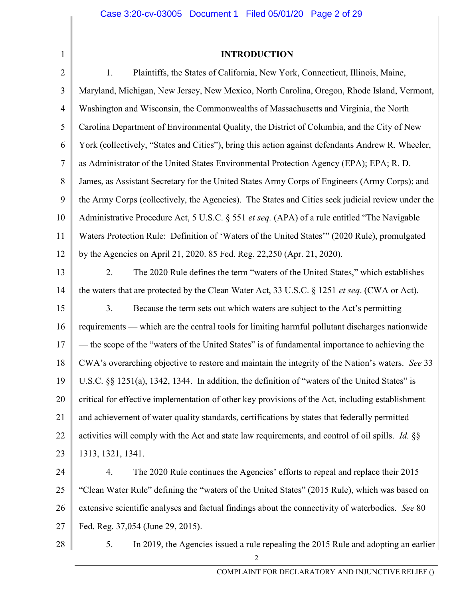# INTRODUCTION

| $\overline{2}$ | Plaintiffs, the States of California, New York, Connecticut, Illinois, Maine,<br>1.                      |
|----------------|----------------------------------------------------------------------------------------------------------|
| 3              | Maryland, Michigan, New Jersey, New Mexico, North Carolina, Oregon, Rhode Island, Vermont,               |
| $\overline{4}$ | Washington and Wisconsin, the Commonwealths of Massachusetts and Virginia, the North                     |
| 5              | Carolina Department of Environmental Quality, the District of Columbia, and the City of New              |
| 6              | York (collectively, "States and Cities"), bring this action against defendants Andrew R. Wheeler,        |
| $\tau$         | as Administrator of the United States Environmental Protection Agency (EPA); EPA; R. D.                  |
| 8              | James, as Assistant Secretary for the United States Army Corps of Engineers (Army Corps); and            |
| 9              | the Army Corps (collectively, the Agencies). The States and Cities seek judicial review under the        |
| 10             | Administrative Procedure Act, 5 U.S.C. § 551 et seq. (APA) of a rule entitled "The Navigable             |
| 11             | Waters Protection Rule: Definition of 'Waters of the United States'" (2020 Rule), promulgated            |
| 12             | by the Agencies on April 21, 2020. 85 Fed. Reg. 22,250 (Apr. 21, 2020).                                  |
| 13             | 2.<br>The 2020 Rule defines the term "waters of the United States," which establishes                    |
| 14             | the waters that are protected by the Clean Water Act, 33 U.S.C. § 1251 et seq. (CWA or Act).             |
| 15             | 3.<br>Because the term sets out which waters are subject to the Act's permitting                         |
| 16             | requirements — which are the central tools for limiting harmful pollutant discharges nationwide          |
| 17             | — the scope of the "waters of the United States" is of fundamental importance to achieving the           |
| 18             | CWA's overarching objective to restore and maintain the integrity of the Nation's waters. See 33         |
| 19             | U.S.C. §§ 1251(a), 1342, 1344. In addition, the definition of "waters of the United States" is           |
| 20             | critical for effective implementation of other key provisions of the Act, including establishment        |
| 21             | and achievement of water quality standards, certifications by states that federally permitted            |
| 22             | activities will comply with the Act and state law requirements, and control of oil spills. <i>Id.</i> §§ |
| 23             | 1313, 1321, 1341.                                                                                        |
| 24             | 4.<br>The 2020 Rule continues the Agencies' efforts to repeal and replace their 2015                     |
| 25             | "Clean Water Rule" defining the "waters of the United States" (2015 Rule), which was based on            |
| 26             | extensive scientific analyses and factual findings about the connectivity of waterbodies. See 80         |
| 27             | Fed. Reg. 37,054 (June 29, 2015).                                                                        |
|                |                                                                                                          |

28

1

5. In 2019, the Agencies issued a rule repealing the 2015 Rule and adopting an earlier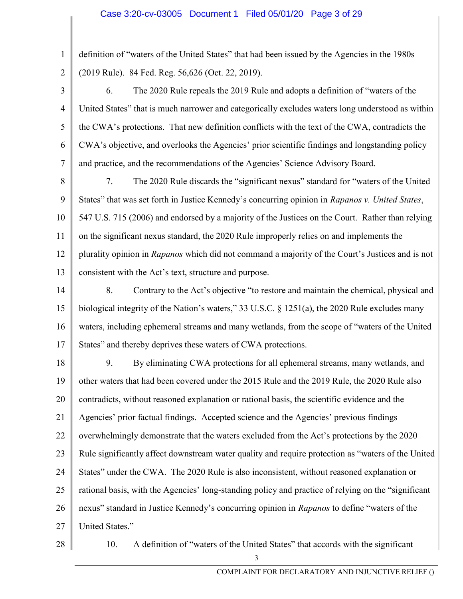1 2 definition of "waters of the United States" that had been issued by the Agencies in the 1980s (2019 Rule). 84 Fed. Reg. 56,626 (Oct. 22, 2019).

3 4 5 6 7 6. The 2020 Rule repeals the 2019 Rule and adopts a definition of "waters of the United States" that is much narrower and categorically excludes waters long understood as within the CWA's protections. That new definition conflicts with the text of the CWA, contradicts the CWA's objective, and overlooks the Agencies' prior scientific findings and longstanding policy and practice, and the recommendations of the Agencies' Science Advisory Board.

- 8 9 10 11 12 13 7. The 2020 Rule discards the "significant nexus" standard for "waters of the United States" that was set forth in Justice Kennedy's concurring opinion in Rapanos v. United States, 547 U.S. 715 (2006) and endorsed by a majority of the Justices on the Court. Rather than relying on the significant nexus standard, the 2020 Rule improperly relies on and implements the plurality opinion in Rapanos which did not command a majority of the Court's Justices and is not consistent with the Act's text, structure and purpose.
- 14 15 16 17 8. Contrary to the Act's objective "to restore and maintain the chemical, physical and biological integrity of the Nation's waters," 33 U.S.C. § 1251(a), the 2020 Rule excludes many waters, including ephemeral streams and many wetlands, from the scope of "waters of the United States" and thereby deprives these waters of CWA protections.
- 18 19 20 21 22 23 24 25 26 27 9. By eliminating CWA protections for all ephemeral streams, many wetlands, and other waters that had been covered under the 2015 Rule and the 2019 Rule, the 2020 Rule also contradicts, without reasoned explanation or rational basis, the scientific evidence and the Agencies' prior factual findings. Accepted science and the Agencies' previous findings overwhelmingly demonstrate that the waters excluded from the Act's protections by the 2020 Rule significantly affect downstream water quality and require protection as "waters of the United States" under the CWA. The 2020 Rule is also inconsistent, without reasoned explanation or rational basis, with the Agencies' long-standing policy and practice of relying on the "significant nexus" standard in Justice Kennedy's concurring opinion in Rapanos to define "waters of the United States."
- 28

10. A definition of "waters of the United States" that accords with the significant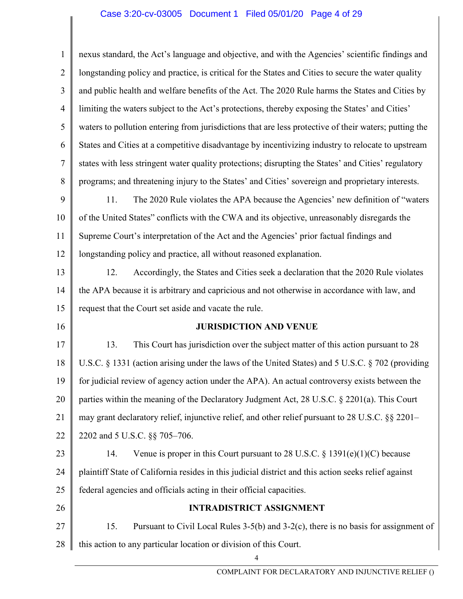## Case 3:20-cv-03005 Document 1 Filed 05/01/20 Page 4 of 29

1 2 3 4 5 6 7 8 9 10 11 12 13 14 15 16 17 18 19 20 21 22 23 24 25 26 27 28 4 nexus standard, the Act's language and objective, and with the Agencies' scientific findings and longstanding policy and practice, is critical for the States and Cities to secure the water quality and public health and welfare benefits of the Act. The 2020 Rule harms the States and Cities by limiting the waters subject to the Act's protections, thereby exposing the States' and Cities' waters to pollution entering from jurisdictions that are less protective of their waters; putting the States and Cities at a competitive disadvantage by incentivizing industry to relocate to upstream states with less stringent water quality protections; disrupting the States' and Cities' regulatory programs; and threatening injury to the States' and Cities' sovereign and proprietary interests. 11. The 2020 Rule violates the APA because the Agencies' new definition of "waters of the United States" conflicts with the CWA and its objective, unreasonably disregards the Supreme Court's interpretation of the Act and the Agencies' prior factual findings and longstanding policy and practice, all without reasoned explanation. 12. Accordingly, the States and Cities seek a declaration that the 2020 Rule violates the APA because it is arbitrary and capricious and not otherwise in accordance with law, and request that the Court set aside and vacate the rule. JURISDICTION AND VENUE 13. This Court has jurisdiction over the subject matter of this action pursuant to 28 U.S.C. § 1331 (action arising under the laws of the United States) and 5 U.S.C. § 702 (providing for judicial review of agency action under the APA). An actual controversy exists between the parties within the meaning of the Declaratory Judgment Act, 28 U.S.C. § 2201(a). This Court may grant declaratory relief, injunctive relief, and other relief pursuant to 28 U.S.C. §§ 2201– 2202 and 5 U.S.C. §§ 705–706. 14. Venue is proper in this Court pursuant to 28 U.S.C.  $\S$  1391(e)(1)(C) because plaintiff State of California resides in this judicial district and this action seeks relief against federal agencies and officials acting in their official capacities. INTRADISTRICT ASSIGNMENT 15. Pursuant to Civil Local Rules 3-5(b) and 3-2(c), there is no basis for assignment of this action to any particular location or division of this Court.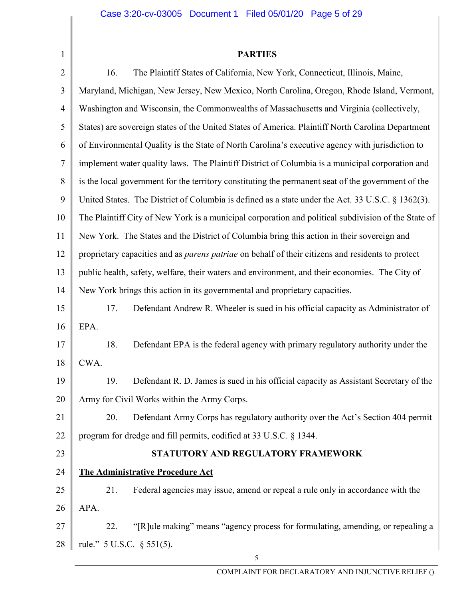| $\overline{2}$ | The Plaintiff States of California, New York, Connecticut, Illinois, Maine,<br>16.                       |  |  |
|----------------|----------------------------------------------------------------------------------------------------------|--|--|
| 3              | Maryland, Michigan, New Jersey, New Mexico, North Carolina, Oregon, Rhode Island, Vermont,               |  |  |
| 4              | Washington and Wisconsin, the Commonwealths of Massachusetts and Virginia (collectively,                 |  |  |
| 5              | States) are sovereign states of the United States of America. Plaintiff North Carolina Department        |  |  |
| 6              | of Environmental Quality is the State of North Carolina's executive agency with jurisdiction to          |  |  |
| $\tau$         | implement water quality laws. The Plaintiff District of Columbia is a municipal corporation and          |  |  |
| 8              | is the local government for the territory constituting the permanent seat of the government of the       |  |  |
| 9              | United States. The District of Columbia is defined as a state under the Act. 33 U.S.C. § 1362(3).        |  |  |
| 10             | The Plaintiff City of New York is a municipal corporation and political subdivision of the State of      |  |  |
| 11             | New York. The States and the District of Columbia bring this action in their sovereign and               |  |  |
| 12             | proprietary capacities and as <i>parens patriae</i> on behalf of their citizens and residents to protect |  |  |
| 13             | public health, safety, welfare, their waters and environment, and their economies. The City of           |  |  |
| 14             | New York brings this action in its governmental and proprietary capacities.                              |  |  |
| 15             | 17.<br>Defendant Andrew R. Wheeler is sued in his official capacity as Administrator of                  |  |  |
| 16             | EPA.                                                                                                     |  |  |
| 17             | Defendant EPA is the federal agency with primary regulatory authority under the<br>18.                   |  |  |
| 18             | CWA.                                                                                                     |  |  |
| 19             | Defendant R. D. James is sued in his official capacity as Assistant Secretary of the<br>19.              |  |  |
| 20             | Army for Civil Works within the Army Corps.                                                              |  |  |
| 21             | Defendant Army Corps has regulatory authority over the Act's Section 404 permit<br>20.                   |  |  |
| 22             | program for dredge and fill permits, codified at 33 U.S.C. § 1344.                                       |  |  |
| 23             | STATUTORY AND REGULATORY FRAMEWORK                                                                       |  |  |
| 24             | <b>The Administrative Procedure Act</b>                                                                  |  |  |
| 25             | 21.<br>Federal agencies may issue, amend or repeal a rule only in accordance with the                    |  |  |
| 26             | APA.                                                                                                     |  |  |
| 27             | "[R]ule making" means "agency process for formulating, amending, or repealing a<br>22.                   |  |  |
| 28             | rule." 5 U.S.C. § 551(5).                                                                                |  |  |
|                | 5                                                                                                        |  |  |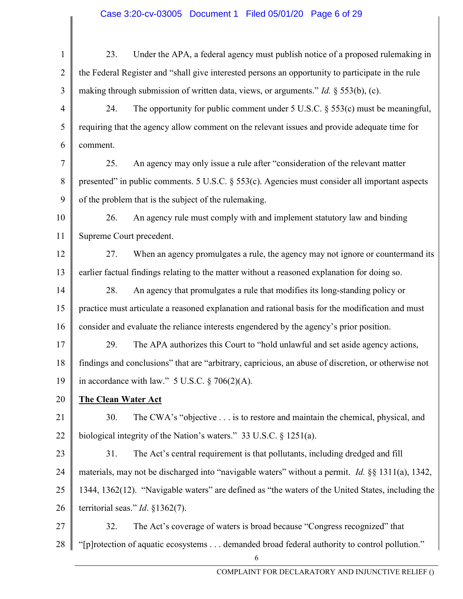| $\mathbf{1}$   | 23.                                                                                               | Under the APA, a federal agency must publish notice of a proposed rulemaking in                         |  |
|----------------|---------------------------------------------------------------------------------------------------|---------------------------------------------------------------------------------------------------------|--|
| $\overline{2}$ |                                                                                                   | the Federal Register and "shall give interested persons an opportunity to participate in the rule       |  |
| 3              | making through submission of written data, views, or arguments." <i>Id.</i> $\S$ 553(b), (c).     |                                                                                                         |  |
| 4              | 24.                                                                                               | The opportunity for public comment under $5$ U.S.C. $\S$ $553(c)$ must be meaningful,                   |  |
| 5              | requiring that the agency allow comment on the relevant issues and provide adequate time for      |                                                                                                         |  |
| 6              | comment.                                                                                          |                                                                                                         |  |
| 7              | 25.                                                                                               | An agency may only issue a rule after "consideration of the relevant matter                             |  |
| 8              |                                                                                                   | presented" in public comments. 5 U.S.C. § 553(c). Agencies must consider all important aspects          |  |
| 9              | of the problem that is the subject of the rulemaking.                                             |                                                                                                         |  |
| 10             | 26.                                                                                               | An agency rule must comply with and implement statutory law and binding                                 |  |
| 11             | Supreme Court precedent.                                                                          |                                                                                                         |  |
| 12             | 27.                                                                                               | When an agency promulgates a rule, the agency may not ignore or countermand its                         |  |
| 13             |                                                                                                   | earlier factual findings relating to the matter without a reasoned explanation for doing so.            |  |
| 14             | 28.                                                                                               | An agency that promulgates a rule that modifies its long-standing policy or                             |  |
| 15             |                                                                                                   | practice must articulate a reasoned explanation and rational basis for the modification and must        |  |
| 16             |                                                                                                   | consider and evaluate the reliance interests engendered by the agency's prior position.                 |  |
| 17             | 29.                                                                                               | The APA authorizes this Court to "hold unlawful and set aside agency actions,                           |  |
| 18             |                                                                                                   | findings and conclusions" that are "arbitrary, capricious, an abuse of discretion, or otherwise not     |  |
| 19             | in accordance with law." $5$ U.S.C. $\S$ 706(2)(A).                                               |                                                                                                         |  |
| 20             | <b>The Clean Water Act</b>                                                                        |                                                                                                         |  |
| 21             | 30.                                                                                               | The CWA's "objective is to restore and maintain the chemical, physical, and                             |  |
| 22             | biological integrity of the Nation's waters." 33 U.S.C. $\S$ 1251(a).                             |                                                                                                         |  |
| 23             | 31.                                                                                               | The Act's central requirement is that pollutants, including dredged and fill                            |  |
| 24             |                                                                                                   | materials, may not be discharged into "navigable waters" without a permit. <i>Id.</i> §§ 1311(a), 1342, |  |
| 25             | 1344, 1362(12). "Navigable waters" are defined as "the waters of the United States, including the |                                                                                                         |  |
| 26             |                                                                                                   | territorial seas." <i>Id.</i> $\S 1362(7)$ .                                                            |  |
| 27             | 32.                                                                                               | The Act's coverage of waters is broad because "Congress recognized" that                                |  |
| 28             |                                                                                                   | "[p] rotection of aquatic ecosystems demanded broad federal authority to control pollution."            |  |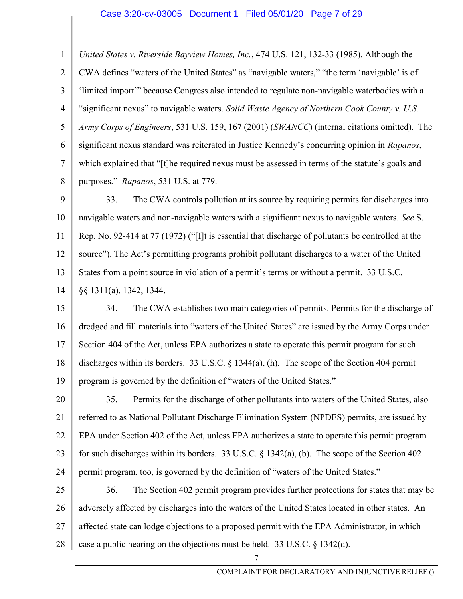#### Case 3:20-cv-03005 Document 1 Filed 05/01/20 Page 7 of 29

1 2 3 4 5 6 7 8 United States v. Riverside Bayview Homes, Inc., 474 U.S. 121, 132-33 (1985). Although the CWA defines "waters of the United States" as "navigable waters," "the term 'navigable' is of 'limited import'" because Congress also intended to regulate non-navigable waterbodies with a "significant nexus" to navigable waters. Solid Waste Agency of Northern Cook County v. U.S. Army Corps of Engineers, 531 U.S. 159, 167 (2001) (SWANCC) (internal citations omitted). The significant nexus standard was reiterated in Justice Kennedy's concurring opinion in Rapanos, which explained that "[t]he required nexus must be assessed in terms of the statute's goals and purposes." Rapanos, 531 U.S. at 779.

9 10 11 12 13 14 33. The CWA controls pollution at its source by requiring permits for discharges into navigable waters and non-navigable waters with a significant nexus to navigable waters. See S. Rep. No. 92-414 at 77 (1972) ("[I]t is essential that discharge of pollutants be controlled at the source"). The Act's permitting programs prohibit pollutant discharges to a water of the United States from a point source in violation of a permit's terms or without a permit. 33 U.S.C. §§ 1311(a), 1342, 1344.

15 16 17 18 19 34. The CWA establishes two main categories of permits. Permits for the discharge of dredged and fill materials into "waters of the United States" are issued by the Army Corps under Section 404 of the Act, unless EPA authorizes a state to operate this permit program for such discharges within its borders. 33 U.S.C. § 1344(a), (h). The scope of the Section 404 permit program is governed by the definition of "waters of the United States."

20 21 22 23 24 35. Permits for the discharge of other pollutants into waters of the United States, also referred to as National Pollutant Discharge Elimination System (NPDES) permits, are issued by EPA under Section 402 of the Act, unless EPA authorizes a state to operate this permit program for such discharges within its borders. 33 U.S.C. § 1342(a), (b). The scope of the Section 402 permit program, too, is governed by the definition of "waters of the United States."

25 26 27 28 36. The Section 402 permit program provides further protections for states that may be adversely affected by discharges into the waters of the United States located in other states. An affected state can lodge objections to a proposed permit with the EPA Administrator, in which case a public hearing on the objections must be held. 33 U.S.C. § 1342(d).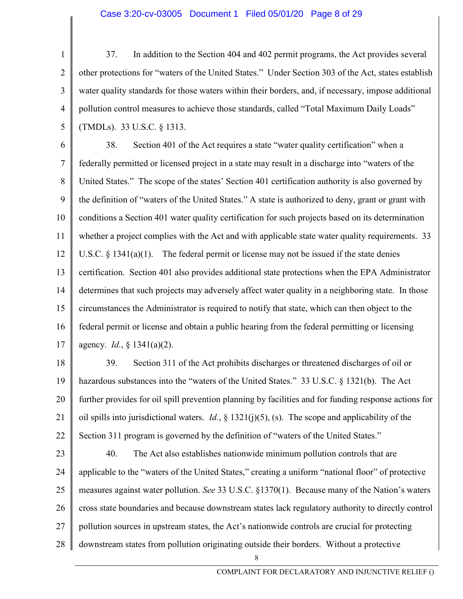#### Case 3:20-cv-03005 Document 1 Filed 05/01/20 Page 8 of 29

1 2 3 4 5 37. In addition to the Section 404 and 402 permit programs, the Act provides several other protections for "waters of the United States." Under Section 303 of the Act, states establish water quality standards for those waters within their borders, and, if necessary, impose additional pollution control measures to achieve those standards, called "Total Maximum Daily Loads" (TMDLs). 33 U.S.C. § 1313.

6 7 8 9 10 11 12 13 14 15 16 17 38. Section 401 of the Act requires a state "water quality certification" when a federally permitted or licensed project in a state may result in a discharge into "waters of the United States." The scope of the states' Section 401 certification authority is also governed by the definition of "waters of the United States." A state is authorized to deny, grant or grant with conditions a Section 401 water quality certification for such projects based on its determination whether a project complies with the Act and with applicable state water quality requirements. 33 U.S.C.  $\S$  1341(a)(1). The federal permit or license may not be issued if the state denies certification. Section 401 also provides additional state protections when the EPA Administrator determines that such projects may adversely affect water quality in a neighboring state. In those circumstances the Administrator is required to notify that state, which can then object to the federal permit or license and obtain a public hearing from the federal permitting or licensing agency.  $Id.$ , § 1341(a)(2).

18 19 20 21 22 39. Section 311 of the Act prohibits discharges or threatened discharges of oil or hazardous substances into the "waters of the United States." 33 U.S.C. § 1321(b). The Act further provides for oil spill prevention planning by facilities and for funding response actions for oil spills into jurisdictional waters. *Id.*,  $\S$  1321(j)(5), (s). The scope and applicability of the Section 311 program is governed by the definition of "waters of the United States."

23 24 25 26 27 28 40. The Act also establishes nationwide minimum pollution controls that are applicable to the "waters of the United States," creating a uniform "national floor" of protective measures against water pollution. See 33 U.S.C. §1370(1). Because many of the Nation's waters cross state boundaries and because downstream states lack regulatory authority to directly control pollution sources in upstream states, the Act's nationwide controls are crucial for protecting downstream states from pollution originating outside their borders. Without a protective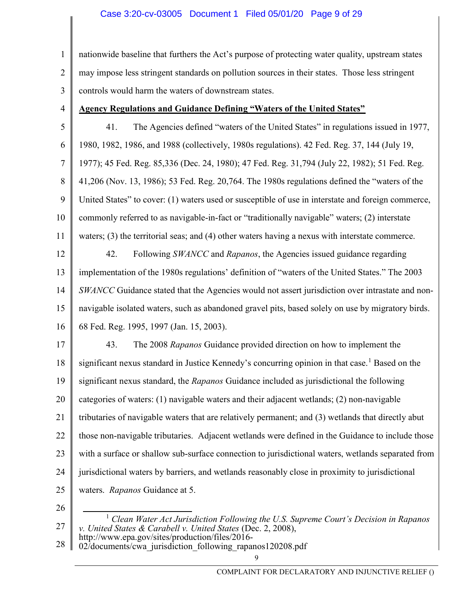1 2 3 nationwide baseline that furthers the Act's purpose of protecting water quality, upstream states may impose less stringent standards on pollution sources in their states. Those less stringent controls would harm the waters of downstream states.

4

# Agency Regulations and Guidance Defining "Waters of the United States"

5 6 7 8 9 10 11 12 13 14 15 16 41. The Agencies defined "waters of the United States" in regulations issued in 1977, 1980, 1982, 1986, and 1988 (collectively, 1980s regulations). 42 Fed. Reg. 37, 144 (July 19, 1977); 45 Fed. Reg. 85,336 (Dec. 24, 1980); 47 Fed. Reg. 31,794 (July 22, 1982); 51 Fed. Reg. 41,206 (Nov. 13, 1986); 53 Fed. Reg. 20,764. The 1980s regulations defined the "waters of the United States" to cover: (1) waters used or susceptible of use in interstate and foreign commerce, commonly referred to as navigable-in-fact or "traditionally navigable" waters; (2) interstate waters; (3) the territorial seas; and (4) other waters having a nexus with interstate commerce. 42. Following *SWANCC* and *Rapanos*, the Agencies issued guidance regarding implementation of the 1980s regulations' definition of "waters of the United States." The 2003 SWANCC Guidance stated that the Agencies would not assert jurisdiction over intrastate and nonnavigable isolated waters, such as abandoned gravel pits, based solely on use by migratory birds. 68 Fed. Reg. 1995, 1997 (Jan. 15, 2003).

17 18 19 20 21 22 23 24 25 43. The 2008 Rapanos Guidance provided direction on how to implement the significant nexus standard in Justice Kennedy's concurring opinion in that case.<sup>1</sup> Based on the significant nexus standard, the Rapanos Guidance included as jurisdictional the following categories of waters: (1) navigable waters and their adjacent wetlands; (2) non-navigable tributaries of navigable waters that are relatively permanent; and (3) wetlands that directly abut those non-navigable tributaries. Adjacent wetlands were defined in the Guidance to include those with a surface or shallow sub-surface connection to jurisdictional waters, wetlands separated from jurisdictional waters by barriers, and wetlands reasonably close in proximity to jurisdictional waters. Rapanos Guidance at 5.

26

28 02/documents/cwa\_jurisdiction\_following\_rapanos120208.pdf

<sup>27</sup>   $<sup>1</sup>$  Clean Water Act Jurisdiction Following the U.S. Supreme Court's Decision in Rapanos</sup> v. United States & Carabell v. United States (Dec. 2, 2008),

http://www.epa.gov/sites/production/files/2016-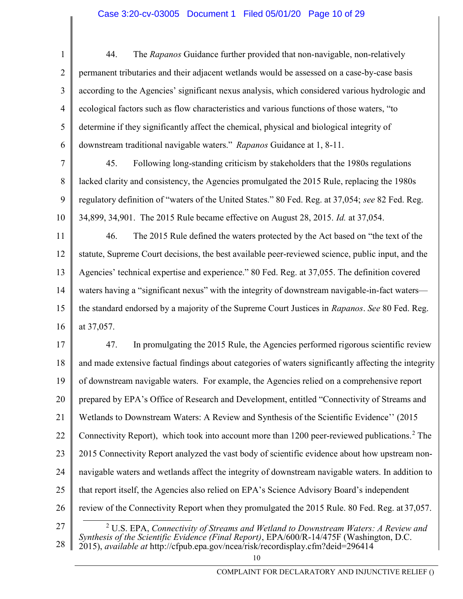## Case 3:20-cv-03005 Document 1 Filed 05/01/20 Page 10 of 29

1 2 3 4 5 6 44. The Rapanos Guidance further provided that non-navigable, non-relatively permanent tributaries and their adjacent wetlands would be assessed on a case-by-case basis according to the Agencies' significant nexus analysis, which considered various hydrologic and ecological factors such as flow characteristics and various functions of those waters, "to determine if they significantly affect the chemical, physical and biological integrity of downstream traditional navigable waters." Rapanos Guidance at 1, 8-11.

7 8 9 10 45. Following long-standing criticism by stakeholders that the 1980s regulations lacked clarity and consistency, the Agencies promulgated the 2015 Rule, replacing the 1980s regulatory definition of "waters of the United States." 80 Fed. Reg. at 37,054; see 82 Fed. Reg. 34,899, 34,901. The 2015 Rule became effective on August 28, 2015. Id. at 37,054.

11 12 13 14 15 16 46. The 2015 Rule defined the waters protected by the Act based on "the text of the statute, Supreme Court decisions, the best available peer-reviewed science, public input, and the Agencies' technical expertise and experience." 80 Fed. Reg. at 37,055. The definition covered waters having a "significant nexus" with the integrity of downstream navigable-in-fact waters the standard endorsed by a majority of the Supreme Court Justices in Rapanos. See 80 Fed. Reg. at 37,057.

17 18 19 20 21 22 23 24 25 26 27 47. In promulgating the 2015 Rule, the Agencies performed rigorous scientific review and made extensive factual findings about categories of waters significantly affecting the integrity of downstream navigable waters. For example, the Agencies relied on a comprehensive report prepared by EPA's Office of Research and Development, entitled "Connectivity of Streams and Wetlands to Downstream Waters: A Review and Synthesis of the Scientific Evidence'' (2015 Connectivity Report), which took into account more than 1200 peer-reviewed publications.<sup>2</sup> The 2015 Connectivity Report analyzed the vast body of scientific evidence about how upstream nonnavigable waters and wetlands affect the integrity of downstream navigable waters. In addition to that report itself, the Agencies also relied on EPA's Science Advisory Board's independent review of the Connectivity Report when they promulgated the 2015 Rule. 80 Fed. Reg. at 37,057. <sup>2</sup> U.S. EPA, Connectivity of Streams and Wetland to Downstream Waters: A Review and

28 Synthesis of the Scientific Evidence (Final Report), EPA/600/R-14/475F (Washington, D.C.  $2015$ ), *available at* http://cfpub.epa.gov/ncea/risk/recordisplay.cfm?deid=296414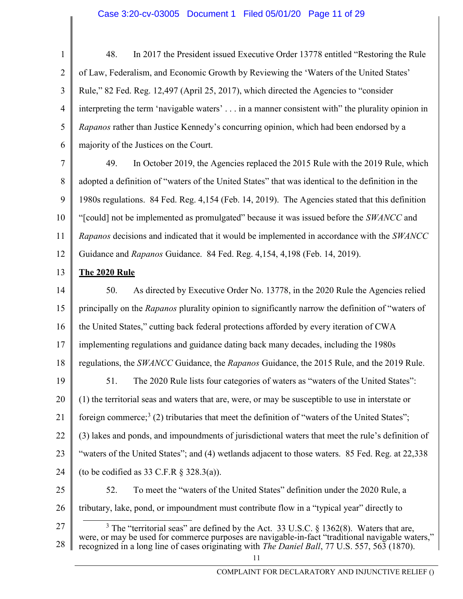## Case 3:20-cv-03005 Document 1 Filed 05/01/20 Page 11 of 29

1 2 3 4 5 6 7 8 9 10 11 12 13 14 15 16 17 18 19 20 21 22 23 24 25 26 27 28 48. In 2017 the President issued Executive Order 13778 entitled "Restoring the Rule of Law, Federalism, and Economic Growth by Reviewing the 'Waters of the United States' Rule," 82 Fed. Reg. 12,497 (April 25, 2017), which directed the Agencies to "consider interpreting the term 'navigable waters' . . . in a manner consistent with" the plurality opinion in Rapanos rather than Justice Kennedy's concurring opinion, which had been endorsed by a majority of the Justices on the Court. 49. In October 2019, the Agencies replaced the 2015 Rule with the 2019 Rule, which adopted a definition of "waters of the United States" that was identical to the definition in the 1980s regulations. 84 Fed. Reg. 4,154 (Feb. 14, 2019). The Agencies stated that this definition "[could] not be implemented as promulgated" because it was issued before the SWANCC and Rapanos decisions and indicated that it would be implemented in accordance with the SWANCC Guidance and Rapanos Guidance. 84 Fed. Reg. 4,154, 4,198 (Feb. 14, 2019). The 2020 Rule 50. As directed by Executive Order No. 13778, in the 2020 Rule the Agencies relied principally on the Rapanos plurality opinion to significantly narrow the definition of "waters of the United States," cutting back federal protections afforded by every iteration of CWA implementing regulations and guidance dating back many decades, including the 1980s regulations, the *SWANCC* Guidance, the *Rapanos* Guidance, the 2015 Rule, and the 2019 Rule. 51. The 2020 Rule lists four categories of waters as "waters of the United States": (1) the territorial seas and waters that are, were, or may be susceptible to use in interstate or foreign commerce;<sup>3</sup> (2) tributaries that meet the definition of "waters of the United States"; (3) lakes and ponds, and impoundments of jurisdictional waters that meet the rule's definition of "waters of the United States"; and (4) wetlands adjacent to those waters. 85 Fed. Reg. at 22,338 (to be codified as 33 C.F.R  $\S$  328.3(a)). 52. To meet the "waters of the United States" definition under the 2020 Rule, a tributary, lake, pond, or impoundment must contribute flow in a "typical year" directly to <sup>3</sup> The "territorial seas" are defined by the Act. 33 U.S.C. § 1362(8). Waters that are, were, or may be used for commerce purposes are navigable-in-fact "traditional navigable waters," recognized in a long line of cases originating with *The Daniel Ball*, 77 U.S. 557, 563 (1870).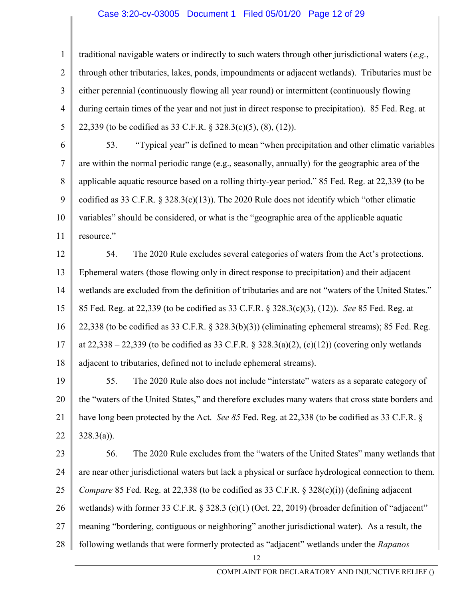### Case 3:20-cv-03005 Document 1 Filed 05/01/20 Page 12 of 29

1 2 3 4 5 traditional navigable waters or indirectly to such waters through other jurisdictional waters (e.g., through other tributaries, lakes, ponds, impoundments or adjacent wetlands). Tributaries must be either perennial (continuously flowing all year round) or intermittent (continuously flowing during certain times of the year and not just in direct response to precipitation). 85 Fed. Reg. at 22,339 (to be codified as 33 C.F.R. § 328.3(c)(5), (8), (12)).

6 7 8 9 10 11 53. "Typical year" is defined to mean "when precipitation and other climatic variables are within the normal periodic range (e.g., seasonally, annually) for the geographic area of the applicable aquatic resource based on a rolling thirty-year period." 85 Fed. Reg. at 22,339 (to be codified as 33 C.F.R. § 328.3(c)(13)). The 2020 Rule does not identify which "other climatic variables" should be considered, or what is the "geographic area of the applicable aquatic resource."

12 13 14 15 16 17 18 54. The 2020 Rule excludes several categories of waters from the Act's protections. Ephemeral waters (those flowing only in direct response to precipitation) and their adjacent wetlands are excluded from the definition of tributaries and are not "waters of the United States." 85 Fed. Reg. at 22,339 (to be codified as 33 C.F.R. § 328.3(c)(3), (12)). See 85 Fed. Reg. at 22,338 (to be codified as 33 C.F.R. § 328.3(b)(3)) (eliminating ephemeral streams); 85 Fed. Reg. at  $22,338 - 22,339$  (to be codified as 33 C.F.R. § 328.3(a)(2), (c)(12)) (covering only wetlands adjacent to tributaries, defined not to include ephemeral streams).

19 20 21 22 55. The 2020 Rule also does not include "interstate" waters as a separate category of the "waters of the United States," and therefore excludes many waters that cross state borders and have long been protected by the Act. See 85 Fed. Reg. at 22,338 (to be codified as 33 C.F.R. §  $328.3(a)$ ).

23 24 25 26 27 28 56. The 2020 Rule excludes from the "waters of the United States" many wetlands that are near other jurisdictional waters but lack a physical or surface hydrological connection to them. *Compare* 85 Fed. Reg. at 22,338 (to be codified as 33 C.F.R. § 328(c)(i)) (defining adjacent wetlands) with former 33 C.F.R. § 328.3 (c)(1) (Oct. 22, 2019) (broader definition of "adjacent" meaning "bordering, contiguous or neighboring" another jurisdictional water). As a result, the following wetlands that were formerly protected as "adjacent" wetlands under the Rapanos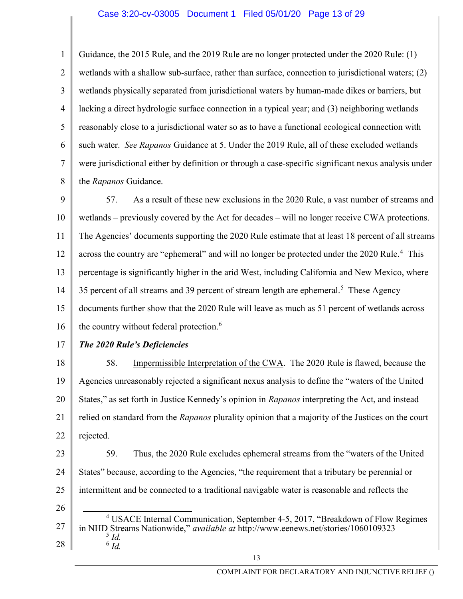## Case 3:20-cv-03005 Document 1 Filed 05/01/20 Page 13 of 29

1 2 3 4 5 6 7 8 Guidance, the 2015 Rule, and the 2019 Rule are no longer protected under the 2020 Rule: (1) wetlands with a shallow sub-surface, rather than surface, connection to jurisdictional waters; (2) wetlands physically separated from jurisdictional waters by human-made dikes or barriers, but lacking a direct hydrologic surface connection in a typical year; and (3) neighboring wetlands reasonably close to a jurisdictional water so as to have a functional ecological connection with such water. See Rapanos Guidance at 5. Under the 2019 Rule, all of these excluded wetlands were jurisdictional either by definition or through a case-specific significant nexus analysis under the Rapanos Guidance.

9 10 11 12 13 14 15 16 57. As a result of these new exclusions in the 2020 Rule, a vast number of streams and wetlands – previously covered by the Act for decades – will no longer receive CWA protections. The Agencies' documents supporting the 2020 Rule estimate that at least 18 percent of all streams across the country are "ephemeral" and will no longer be protected under the 2020 Rule.<sup>4</sup> This percentage is significantly higher in the arid West, including California and New Mexico, where 35 percent of all streams and 39 percent of stream length are ephemeral.<sup>5</sup> These Agency documents further show that the 2020 Rule will leave as much as 51 percent of wetlands across the country without federal protection.<sup>6</sup>

17

## The 2020 Rule's Deficiencies

18 19 20 21 22 58. Impermissible Interpretation of the CWA. The 2020 Rule is flawed, because the Agencies unreasonably rejected a significant nexus analysis to define the "waters of the United States," as set forth in Justice Kennedy's opinion in Rapanos interpreting the Act, and instead relied on standard from the *Rapanos* plurality opinion that a majority of the Justices on the court rejected.

- 23 24 25 59. Thus, the 2020 Rule excludes ephemeral streams from the "waters of the United States" because, according to the Agencies, "the requirement that a tributary be perennial or intermittent and be connected to a traditional navigable water is reasonable and reflects the
- 26
- 27 28 <sup>4</sup> USACE Internal Communication, September 4-5, 2017, "Breakdown of Flow Regimes in NHD Streams Nationwide," available at http://www.eenews.net/stories/1060109323  $\frac{5}{1}$ Id.  $^6$  Id.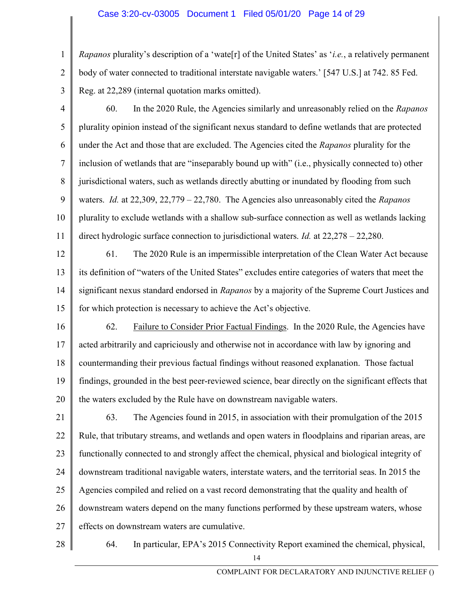1 2 3 Rapanos plurality's description of a 'wate<sup>[r]</sup> of the United States' as '*i.e.*, a relatively permanent body of water connected to traditional interstate navigable waters.' [547 U.S.] at 742. 85 Fed. Reg. at 22,289 (internal quotation marks omitted).

4 5 6 7 8 9 10 11 60. In the 2020 Rule, the Agencies similarly and unreasonably relied on the Rapanos plurality opinion instead of the significant nexus standard to define wetlands that are protected under the Act and those that are excluded. The Agencies cited the Rapanos plurality for the inclusion of wetlands that are "inseparably bound up with" (i.e., physically connected to) other jurisdictional waters, such as wetlands directly abutting or inundated by flooding from such waters. Id. at  $22,309, 22,779 - 22,780$ . The Agencies also unreasonably cited the *Rapanos* plurality to exclude wetlands with a shallow sub-surface connection as well as wetlands lacking direct hydrologic surface connection to jurisdictional waters. Id. at 22,278 – 22,280.

12 13 14 15 61. The 2020 Rule is an impermissible interpretation of the Clean Water Act because its definition of "waters of the United States" excludes entire categories of waters that meet the significant nexus standard endorsed in Rapanos by a majority of the Supreme Court Justices and for which protection is necessary to achieve the Act's objective.

16 17 18 19 20 62. Failure to Consider Prior Factual Findings. In the 2020 Rule, the Agencies have acted arbitrarily and capriciously and otherwise not in accordance with law by ignoring and countermanding their previous factual findings without reasoned explanation. Those factual findings, grounded in the best peer-reviewed science, bear directly on the significant effects that the waters excluded by the Rule have on downstream navigable waters.

21 22 23 24 25 26 27 63. The Agencies found in 2015, in association with their promulgation of the 2015 Rule, that tributary streams, and wetlands and open waters in floodplains and riparian areas, are functionally connected to and strongly affect the chemical, physical and biological integrity of downstream traditional navigable waters, interstate waters, and the territorial seas. In 2015 the Agencies compiled and relied on a vast record demonstrating that the quality and health of downstream waters depend on the many functions performed by these upstream waters, whose effects on downstream waters are cumulative.

28

64. In particular, EPA's 2015 Connectivity Report examined the chemical, physical,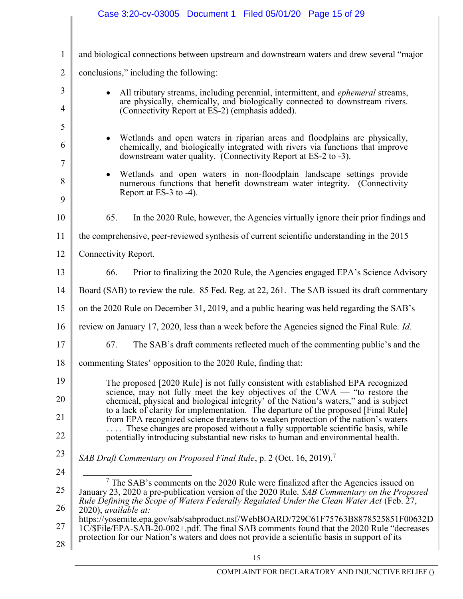|                | Case 3:20-cv-03005 Document 1 Filed 05/01/20 Page 15 of 29                                                                                                                                                                                                                                |  |  |
|----------------|-------------------------------------------------------------------------------------------------------------------------------------------------------------------------------------------------------------------------------------------------------------------------------------------|--|--|
|                |                                                                                                                                                                                                                                                                                           |  |  |
| $\mathbf{1}$   | and biological connections between upstream and downstream waters and drew several "major                                                                                                                                                                                                 |  |  |
| $\overline{2}$ | conclusions," including the following:                                                                                                                                                                                                                                                    |  |  |
| 3<br>4         | All tributary streams, including perennial, intermittent, and ephemeral streams,<br>$\bullet$<br>are physically, chemically, and biologically connected to downstream rivers.<br>(Connectivity Report at ES-2) (emphasis added).                                                          |  |  |
| 5              |                                                                                                                                                                                                                                                                                           |  |  |
| 6              | Wetlands and open waters in riparian areas and floodplains are physically,<br>$\bullet$<br>chemically, and biologically integrated with rivers via functions that improve<br>downstream water quality. (Connectivity Report at ES-2 to -3).                                               |  |  |
| $\tau$         | Wetlands and open waters in non-floodplain landscape settings provide<br>$\bullet$                                                                                                                                                                                                        |  |  |
| 8<br>9         | numerous functions that benefit downstream water integrity. (Connectivity<br>Report at ES-3 to -4).                                                                                                                                                                                       |  |  |
| 10             | In the 2020 Rule, however, the Agencies virtually ignore their prior findings and<br>65.                                                                                                                                                                                                  |  |  |
| 11             | the comprehensive, peer-reviewed synthesis of current scientific understanding in the 2015                                                                                                                                                                                                |  |  |
| 12             | Connectivity Report.                                                                                                                                                                                                                                                                      |  |  |
| 13             | Prior to finalizing the 2020 Rule, the Agencies engaged EPA's Science Advisory<br>66.                                                                                                                                                                                                     |  |  |
| 14             | Board (SAB) to review the rule. 85 Fed. Reg. at 22, 261. The SAB issued its draft commentary                                                                                                                                                                                              |  |  |
| 15             | on the 2020 Rule on December 31, 2019, and a public hearing was held regarding the SAB's                                                                                                                                                                                                  |  |  |
| 16             | review on January 17, 2020, less than a week before the Agencies signed the Final Rule. <i>Id.</i>                                                                                                                                                                                        |  |  |
| 17             | 67.<br>The SAB's draft comments reflected much of the commenting public's and the                                                                                                                                                                                                         |  |  |
| 18             | commenting States' opposition to the 2020 Rule, finding that:                                                                                                                                                                                                                             |  |  |
| 19             | The proposed [2020 Rule] is not fully consistent with established EPA recognized                                                                                                                                                                                                          |  |  |
| 20             | science, may not fully meet the key objectives of the $CWA$ — "to restore the<br>chemical, physical and biological integrity' of the Nation's waters," and is subject                                                                                                                     |  |  |
| 21             | to a lack of clarity for implementation. The departure of the proposed [Final Rule]<br>from EPA recognized science threatens to weaken protection of the nation's waters                                                                                                                  |  |  |
| 22             | These changes are proposed without a fully supportable scientific basis, while<br>potentially introducing substantial new risks to human and environmental health.                                                                                                                        |  |  |
| 23             | SAB Draft Commentary on Proposed Final Rule, p. 2 (Oct. 16, 2019).                                                                                                                                                                                                                        |  |  |
| 24             |                                                                                                                                                                                                                                                                                           |  |  |
| 25             | $\frac{1}{7}$ The SAB's comments on the 2020 Rule were finalized after the Agencies issued on<br>January 23, 2020 a pre-publication version of the 2020 Rule. SAB Commentary on the Proposed<br>Rule Defining the Scope of Waters Federally Regulated Under the Clean Water Act (Feb. 27, |  |  |
| 26             | 2020), available at:<br>https://yosemite.epa.gov/sab/sabproduct.nsf/WebBOARD/729C61F75763B8878525851F00632D                                                                                                                                                                               |  |  |
| 27             | 1C/\$File/EPA-SAB-20-002+.pdf. The final SAB comments found that the 2020 Rule "decreases"<br>protection for our Nation's waters and does not provide a scientific basis in support of its                                                                                                |  |  |
| 28             | 15                                                                                                                                                                                                                                                                                        |  |  |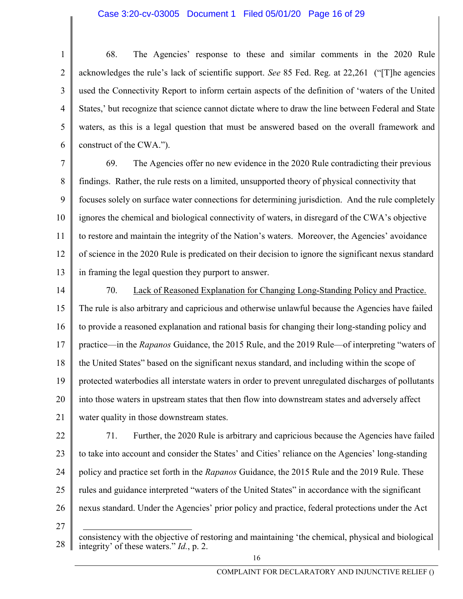## Case 3:20-cv-03005 Document 1 Filed 05/01/20 Page 16 of 29

1 2 3 4 5 6 68. The Agencies' response to these and similar comments in the 2020 Rule acknowledges the rule's lack of scientific support. See 85 Fed. Reg. at 22,261 ("[T]he agencies used the Connectivity Report to inform certain aspects of the definition of 'waters of the United States,' but recognize that science cannot dictate where to draw the line between Federal and State waters, as this is a legal question that must be answered based on the overall framework and construct of the CWA.").

7 8 9 10 11 12 13 69. The Agencies offer no new evidence in the 2020 Rule contradicting their previous findings. Rather, the rule rests on a limited, unsupported theory of physical connectivity that focuses solely on surface water connections for determining jurisdiction. And the rule completely ignores the chemical and biological connectivity of waters, in disregard of the CWA's objective to restore and maintain the integrity of the Nation's waters. Moreover, the Agencies' avoidance of science in the 2020 Rule is predicated on their decision to ignore the significant nexus standard in framing the legal question they purport to answer.

- 14 15 16 17 18 19 20 21 70. Lack of Reasoned Explanation for Changing Long-Standing Policy and Practice. The rule is also arbitrary and capricious and otherwise unlawful because the Agencies have failed to provide a reasoned explanation and rational basis for changing their long-standing policy and practice—in the Rapanos Guidance, the 2015 Rule, and the 2019 Rule—of interpreting "waters of the United States" based on the significant nexus standard, and including within the scope of protected waterbodies all interstate waters in order to prevent unregulated discharges of pollutants into those waters in upstream states that then flow into downstream states and adversely affect water quality in those downstream states.
- 22 23 24 25 26 71. Further, the 2020 Rule is arbitrary and capricious because the Agencies have failed to take into account and consider the States' and Cities' reliance on the Agencies' long-standing policy and practice set forth in the Rapanos Guidance, the 2015 Rule and the 2019 Rule. These rules and guidance interpreted "waters of the United States" in accordance with the significant nexus standard. Under the Agencies' prior policy and practice, federal protections under the Act
- 27

<sup>28</sup> consistency with the objective of restoring and maintaining 'the chemical, physical and biological integrity' of these waters." Id., p. 2.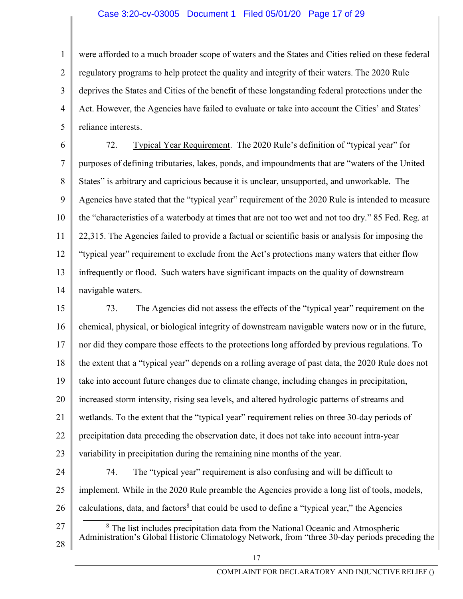## Case 3:20-cv-03005 Document 1 Filed 05/01/20 Page 17 of 29

1 2 3 4 5 were afforded to a much broader scope of waters and the States and Cities relied on these federal regulatory programs to help protect the quality and integrity of their waters. The 2020 Rule deprives the States and Cities of the benefit of these longstanding federal protections under the Act. However, the Agencies have failed to evaluate or take into account the Cities' and States' reliance interests.

6 7 8 9 10 11 12 13 14 72. Typical Year Requirement. The 2020 Rule's definition of "typical year" for purposes of defining tributaries, lakes, ponds, and impoundments that are "waters of the United States" is arbitrary and capricious because it is unclear, unsupported, and unworkable. The Agencies have stated that the "typical year" requirement of the 2020 Rule is intended to measure the "characteristics of a waterbody at times that are not too wet and not too dry." 85 Fed. Reg. at 22,315. The Agencies failed to provide a factual or scientific basis or analysis for imposing the "typical year" requirement to exclude from the Act's protections many waters that either flow infrequently or flood. Such waters have significant impacts on the quality of downstream navigable waters.

15 16 17 18 19 20 21 22 23 73. The Agencies did not assess the effects of the "typical year" requirement on the chemical, physical, or biological integrity of downstream navigable waters now or in the future, nor did they compare those effects to the protections long afforded by previous regulations. To the extent that a "typical year" depends on a rolling average of past data, the 2020 Rule does not take into account future changes due to climate change, including changes in precipitation, increased storm intensity, rising sea levels, and altered hydrologic patterns of streams and wetlands. To the extent that the "typical year" requirement relies on three 30-day periods of precipitation data preceding the observation date, it does not take into account intra-year variability in precipitation during the remaining nine months of the year.

24 25 26 74. The "typical year" requirement is also confusing and will be difficult to implement. While in the 2020 Rule preamble the Agencies provide a long list of tools, models, calculations, data, and factors<sup>8</sup> that could be used to define a "typical year," the Agencies

<sup>8</sup> The list includes precipitation data from the National Oceanic and Atmospheric Administration's Global Historic Climatology Network, from "three 30-day periods preceding the

17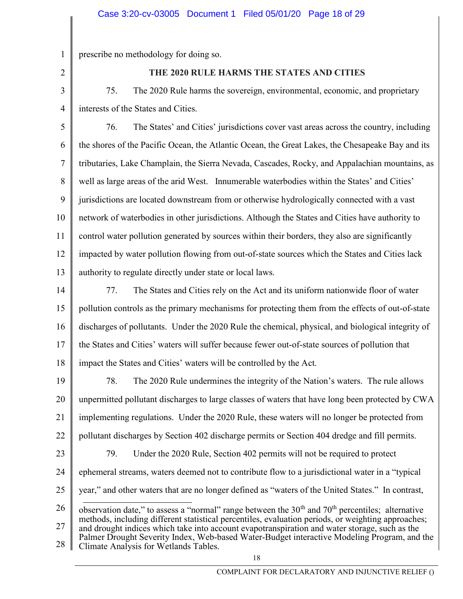prescribe no methodology for doing so.

2

23

1

## THE 2020 RULE HARMS THE STATES AND CITIES

3 4 75. The 2020 Rule harms the sovereign, environmental, economic, and proprietary interests of the States and Cities.

5 6 7 8 9 10 11 12 13 76. The States' and Cities' jurisdictions cover vast areas across the country, including the shores of the Pacific Ocean, the Atlantic Ocean, the Great Lakes, the Chesapeake Bay and its tributaries, Lake Champlain, the Sierra Nevada, Cascades, Rocky, and Appalachian mountains, as well as large areas of the arid West. Innumerable waterbodies within the States' and Cities' jurisdictions are located downstream from or otherwise hydrologically connected with a vast network of waterbodies in other jurisdictions. Although the States and Cities have authority to control water pollution generated by sources within their borders, they also are significantly impacted by water pollution flowing from out-of-state sources which the States and Cities lack authority to regulate directly under state or local laws.

- 14 15 16 17 18 77. The States and Cities rely on the Act and its uniform nationwide floor of water pollution controls as the primary mechanisms for protecting them from the effects of out-of-state discharges of pollutants. Under the 2020 Rule the chemical, physical, and biological integrity of the States and Cities' waters will suffer because fewer out-of-state sources of pollution that impact the States and Cities' waters will be controlled by the Act.
- 19 20 21 22 78. The 2020 Rule undermines the integrity of the Nation's waters. The rule allows unpermitted pollutant discharges to large classes of waters that have long been protected by CWA implementing regulations. Under the 2020 Rule, these waters will no longer be protected from pollutant discharges by Section 402 discharge permits or Section 404 dredge and fill permits.
	- 79. Under the 2020 Rule, Section 402 permits will not be required to protect
- 24 ephemeral streams, waters deemed not to contribute flow to a jurisdictional water in a "typical
- 25 year," and other waters that are no longer defined as "waters of the United States." In contrast,

<sup>26</sup>  27 28 observation date," to assess a "normal" range between the  $30<sup>th</sup>$  and  $70<sup>th</sup>$  percentiles; alternative methods, including different statistical percentiles, evaluation periods, or weighting approaches; and drought indices which take into account evapotranspiration and water storage, such as the Palmer Drought Severity Index, Web-based Water-Budget interactive Modeling Program, and the Climate Analysis for Wetlands Tables.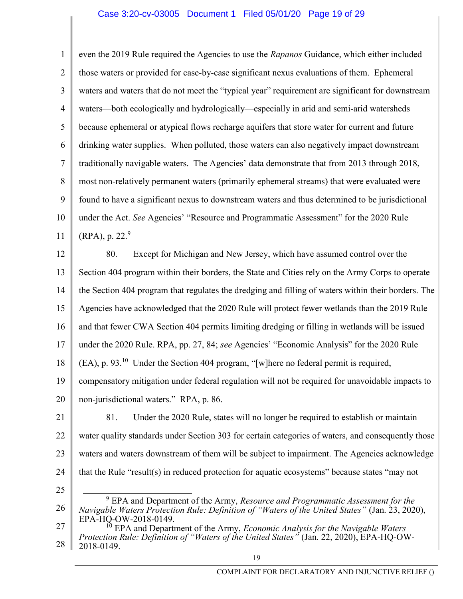## Case 3:20-cv-03005 Document 1 Filed 05/01/20 Page 19 of 29

1 2 3 4 5 6 7 8 9 10 11 even the 2019 Rule required the Agencies to use the Rapanos Guidance, which either included those waters or provided for case-by-case significant nexus evaluations of them. Ephemeral waters and waters that do not meet the "typical year" requirement are significant for downstream waters—both ecologically and hydrologically—especially in arid and semi-arid watersheds because ephemeral or atypical flows recharge aquifers that store water for current and future drinking water supplies. When polluted, those waters can also negatively impact downstream traditionally navigable waters. The Agencies' data demonstrate that from 2013 through 2018, most non-relatively permanent waters (primarily ephemeral streams) that were evaluated were found to have a significant nexus to downstream waters and thus determined to be jurisdictional under the Act. See Agencies' "Resource and Programmatic Assessment" for the 2020 Rule  $(RPA)$ , p. 22.<sup>9</sup>

12 13 14 15 16 17 18 19 20 80. Except for Michigan and New Jersey, which have assumed control over the Section 404 program within their borders, the State and Cities rely on the Army Corps to operate the Section 404 program that regulates the dredging and filling of waters within their borders. The Agencies have acknowledged that the 2020 Rule will protect fewer wetlands than the 2019 Rule and that fewer CWA Section 404 permits limiting dredging or filling in wetlands will be issued under the 2020 Rule. RPA, pp. 27, 84; see Agencies' "Economic Analysis" for the 2020 Rule  $(EA)$ , p. 93.<sup>10</sup> Under the Section 404 program, "[w]here no federal permit is required, compensatory mitigation under federal regulation will not be required for unavoidable impacts to non-jurisdictional waters." RPA, p. 86.

21 22 23 24 81. Under the 2020 Rule, states will no longer be required to establish or maintain water quality standards under Section 303 for certain categories of waters, and consequently those waters and waters downstream of them will be subject to impairment. The Agencies acknowledge that the Rule "result(s) in reduced protection for aquatic ecosystems" because states "may not

25

26  $9^9$  EPA and Department of the Army, Resource and Programmatic Assessment for the Navigable Waters Protection Rule: Definition of "Waters of the United States" (Jan. 23, 2020), EPA-HQ-OW-2018-0149.

<sup>27</sup>  28  $10^{10}$  EPA and Department of the Army, *Economic Analysis for the Navigable Waters* Protection Rule: Definition of "Waters of the United States" (Jan. 22, 2020), EPA-HQ-OW-2018-0149.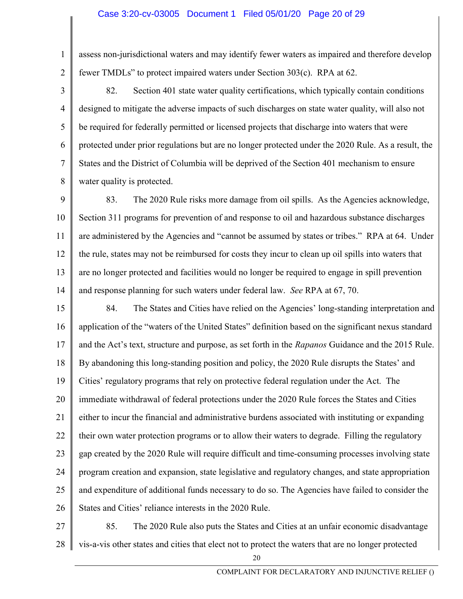#### Case 3:20-cv-03005 Document 1 Filed 05/01/20 Page 20 of 29

1 2 assess non-jurisdictional waters and may identify fewer waters as impaired and therefore develop fewer TMDLs" to protect impaired waters under Section 303(c). RPA at 62.

3 4 5 6 7 8 82. Section 401 state water quality certifications, which typically contain conditions designed to mitigate the adverse impacts of such discharges on state water quality, will also not be required for federally permitted or licensed projects that discharge into waters that were protected under prior regulations but are no longer protected under the 2020 Rule. As a result, the States and the District of Columbia will be deprived of the Section 401 mechanism to ensure water quality is protected.

9 10 11 12 13 14 83. The 2020 Rule risks more damage from oil spills. As the Agencies acknowledge, Section 311 programs for prevention of and response to oil and hazardous substance discharges are administered by the Agencies and "cannot be assumed by states or tribes." RPA at 64. Under the rule, states may not be reimbursed for costs they incur to clean up oil spills into waters that are no longer protected and facilities would no longer be required to engage in spill prevention and response planning for such waters under federal law. See RPA at 67, 70.

15 16 17 18 19 20 21 22 23 24 25 26 84. The States and Cities have relied on the Agencies' long-standing interpretation and application of the "waters of the United States" definition based on the significant nexus standard and the Act's text, structure and purpose, as set forth in the Rapanos Guidance and the 2015 Rule. By abandoning this long-standing position and policy, the 2020 Rule disrupts the States' and Cities' regulatory programs that rely on protective federal regulation under the Act. The immediate withdrawal of federal protections under the 2020 Rule forces the States and Cities either to incur the financial and administrative burdens associated with instituting or expanding their own water protection programs or to allow their waters to degrade. Filling the regulatory gap created by the 2020 Rule will require difficult and time-consuming processes involving state program creation and expansion, state legislative and regulatory changes, and state appropriation and expenditure of additional funds necessary to do so. The Agencies have failed to consider the States and Cities' reliance interests in the 2020 Rule.

27 28 85. The 2020 Rule also puts the States and Cities at an unfair economic disadvantage vis-a-vis other states and cities that elect not to protect the waters that are no longer protected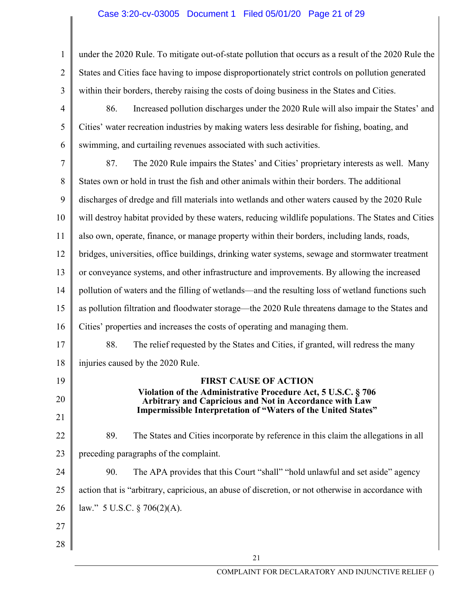# Case 3:20-cv-03005 Document 1 Filed 05/01/20 Page 21 of 29

| 1              | under the 2020 Rule. To mitigate out-of-state pollution that occurs as a result of the 2020 Rule the                     |  |  |
|----------------|--------------------------------------------------------------------------------------------------------------------------|--|--|
| $\overline{2}$ | States and Cities face having to impose disproportionately strict controls on pollution generated                        |  |  |
| 3              | within their borders, thereby raising the costs of doing business in the States and Cities.                              |  |  |
| 4              | 86.<br>Increased pollution discharges under the 2020 Rule will also impair the States' and                               |  |  |
| 5              | Cities' water recreation industries by making waters less desirable for fishing, boating, and                            |  |  |
| 6              | swimming, and curtailing revenues associated with such activities.                                                       |  |  |
| 7              | 87.<br>The 2020 Rule impairs the States' and Cities' proprietary interests as well. Many                                 |  |  |
| 8              | States own or hold in trust the fish and other animals within their borders. The additional                              |  |  |
| 9              | discharges of dredge and fill materials into wetlands and other waters caused by the 2020 Rule                           |  |  |
| 10             | will destroy habitat provided by these waters, reducing wildlife populations. The States and Cities                      |  |  |
| 11             | also own, operate, finance, or manage property within their borders, including lands, roads,                             |  |  |
| 12             | bridges, universities, office buildings, drinking water systems, sewage and stormwater treatment                         |  |  |
| 13             | or conveyance systems, and other infrastructure and improvements. By allowing the increased                              |  |  |
| 14             | pollution of waters and the filling of wetlands—and the resulting loss of wetland functions such                         |  |  |
| 15             | as pollution filtration and floodwater storage—the 2020 Rule threatens damage to the States and                          |  |  |
| 16             | Cities' properties and increases the costs of operating and managing them.                                               |  |  |
| 17             | 88.<br>The relief requested by the States and Cities, if granted, will redress the many                                  |  |  |
| 18             | injuries caused by the 2020 Rule.                                                                                        |  |  |
| 19             | <b>FIRST CAUSE OF ACTION</b>                                                                                             |  |  |
| 20             | Violation of the Administrative Procedure Act, 5 U.S.C. § 706<br>Arbitrary and Capricious and Not in Accordance with Law |  |  |
| 21             | <b>Impermissible Interpretation of "Waters of the United States"</b>                                                     |  |  |
| 22             | 89.<br>The States and Cities incorporate by reference in this claim the allegations in all                               |  |  |
| 23             | preceding paragraphs of the complaint.                                                                                   |  |  |
| 24             | The APA provides that this Court "shall" "hold unlawful and set aside" agency<br>90.                                     |  |  |
| 25             | action that is "arbitrary, capricious, an abuse of discretion, or not otherwise in accordance with                       |  |  |
| 26             | law." 5 U.S.C. $\S$ 706(2)(A).                                                                                           |  |  |
| 27             |                                                                                                                          |  |  |
| 28             |                                                                                                                          |  |  |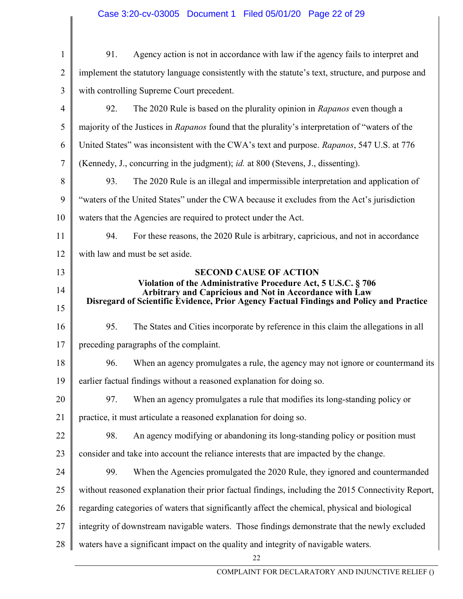# Case 3:20-cv-03005 Document 1 Filed 05/01/20 Page 22 of 29

| $\mathbf{1}$    | Agency action is not in accordance with law if the agency fails to interpret and<br>91.                                                                                                                             |  |  |
|-----------------|---------------------------------------------------------------------------------------------------------------------------------------------------------------------------------------------------------------------|--|--|
| $\overline{2}$  | implement the statutory language consistently with the statute's text, structure, and purpose and                                                                                                                   |  |  |
| 3               | with controlling Supreme Court precedent.                                                                                                                                                                           |  |  |
| $\overline{4}$  | 92.<br>The 2020 Rule is based on the plurality opinion in Rapanos even though a                                                                                                                                     |  |  |
| 5               | majority of the Justices in Rapanos found that the plurality's interpretation of "waters of the                                                                                                                     |  |  |
| 6               | United States" was inconsistent with the CWA's text and purpose. Rapanos, 547 U.S. at 776                                                                                                                           |  |  |
| $\tau$          | (Kennedy, J., concurring in the judgment); id. at 800 (Stevens, J., dissenting).                                                                                                                                    |  |  |
| 8               | 93.<br>The 2020 Rule is an illegal and impermissible interpretation and application of                                                                                                                              |  |  |
| 9               | "waters of the United States" under the CWA because it excludes from the Act's jurisdiction                                                                                                                         |  |  |
| 10              | waters that the Agencies are required to protect under the Act.                                                                                                                                                     |  |  |
| 11              | 94.<br>For these reasons, the 2020 Rule is arbitrary, capricious, and not in accordance                                                                                                                             |  |  |
| 12              | with law and must be set aside.                                                                                                                                                                                     |  |  |
| 13              | <b>SECOND CAUSE OF ACTION</b>                                                                                                                                                                                       |  |  |
| 14              | Violation of the Administrative Procedure Act, 5 U.S.C. § 706<br>Arbitrary and Capricious and Not in Accordance with Law<br>Disregard of Scientific Evidence, Prior Agency Factual Findings and Policy and Practice |  |  |
| 15              |                                                                                                                                                                                                                     |  |  |
| 16              | 95.<br>The States and Cities incorporate by reference in this claim the allegations in all                                                                                                                          |  |  |
| 17              | preceding paragraphs of the complaint.                                                                                                                                                                              |  |  |
| 18              | 96.<br>When an agency promulgates a rule, the agency may not ignore or countermand its                                                                                                                              |  |  |
| 19 <sup>°</sup> | earlier factual findings without a reasoned explanation for doing so.                                                                                                                                               |  |  |
| 20              | When an agency promulgates a rule that modifies its long-standing policy or<br>97.                                                                                                                                  |  |  |
| 21              | practice, it must articulate a reasoned explanation for doing so.                                                                                                                                                   |  |  |
| 22              | An agency modifying or abandoning its long-standing policy or position must<br>98.                                                                                                                                  |  |  |
| 23              | consider and take into account the reliance interests that are impacted by the change.                                                                                                                              |  |  |
| 24              | When the Agencies promulgated the 2020 Rule, they ignored and countermanded<br>99.                                                                                                                                  |  |  |
| 25              | without reasoned explanation their prior factual findings, including the 2015 Connectivity Report,                                                                                                                  |  |  |
| 26              | regarding categories of waters that significantly affect the chemical, physical and biological                                                                                                                      |  |  |
| 27              | integrity of downstream navigable waters. Those findings demonstrate that the newly excluded                                                                                                                        |  |  |
| 28              | waters have a significant impact on the quality and integrity of navigable waters.                                                                                                                                  |  |  |
|                 | 22                                                                                                                                                                                                                  |  |  |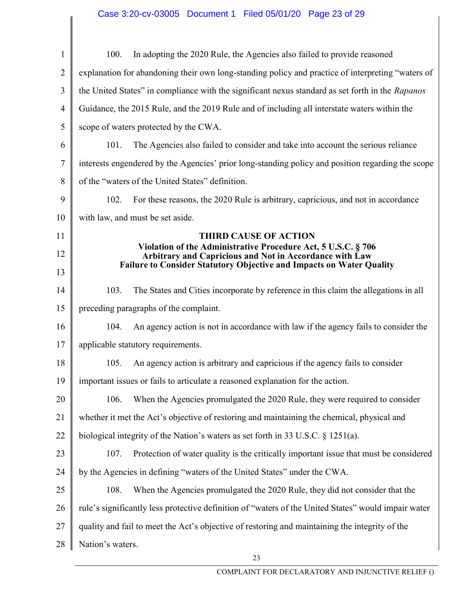| $\mathbf{1}$   | In adopting the 2020 Rule, the Agencies also failed to provide reasoned<br>100.                                          |  |  |
|----------------|--------------------------------------------------------------------------------------------------------------------------|--|--|
| $\overline{2}$ | explanation for abandoning their own long-standing policy and practice of interpreting "waters of                        |  |  |
| 3              | the United States" in compliance with the significant nexus standard as set forth in the Rapanos                         |  |  |
| $\overline{4}$ | Guidance, the 2015 Rule, and the 2019 Rule and of including all interstate waters within the                             |  |  |
| 5              | scope of waters protected by the CWA.                                                                                    |  |  |
| 6              | 101.<br>The Agencies also failed to consider and take into account the serious reliance                                  |  |  |
| 7              | interests engendered by the Agencies' prior long-standing policy and position regarding the scope                        |  |  |
| 8              | of the "waters of the United States" definition.                                                                         |  |  |
| 9              | 102.<br>For these reasons, the 2020 Rule is arbitrary, capricious, and not in accordance                                 |  |  |
| 10             | with law, and must be set aside.                                                                                         |  |  |
| 11             | <b>THIRD CAUSE OF ACTION</b>                                                                                             |  |  |
| 12             | Violation of the Administrative Procedure Act, 5 U.S.C. § 706<br>Arbitrary and Capricious and Not in Accordance with Law |  |  |
| 13             | Failure to Consider Statutory Objective and Impacts on Water Quality                                                     |  |  |
| 14             | 103.<br>The States and Cities incorporate by reference in this claim the allegations in all                              |  |  |
| 15             | preceding paragraphs of the complaint.                                                                                   |  |  |
| 16             | An agency action is not in accordance with law if the agency fails to consider the<br>104.                               |  |  |
| 17             | applicable statutory requirements.                                                                                       |  |  |
| 18             | An agency action is arbitrary and capricious if the agency fails to consider<br>105.                                     |  |  |
| 19             | important issues or fails to articulate a reasoned explanation for the action.                                           |  |  |
| 20             | When the Agencies promulgated the 2020 Rule, they were required to consider<br>106.                                      |  |  |
| 21             | whether it met the Act's objective of restoring and maintaining the chemical, physical and                               |  |  |
| 22             | biological integrity of the Nation's waters as set forth in 33 U.S.C. $\S$ 1251(a).                                      |  |  |
| 23             | Protection of water quality is the critically important issue that must be considered<br>107.                            |  |  |
| 24             | by the Agencies in defining "waters of the United States" under the CWA.                                                 |  |  |
| 25             | When the Agencies promulgated the 2020 Rule, they did not consider that the<br>108.                                      |  |  |
| 26             | rule's significantly less protective definition of "waters of the United States" would impair water                      |  |  |
| 27             | quality and fail to meet the Act's objective of restoring and maintaining the integrity of the                           |  |  |
| 28             | Nation's waters.                                                                                                         |  |  |
|                | 23                                                                                                                       |  |  |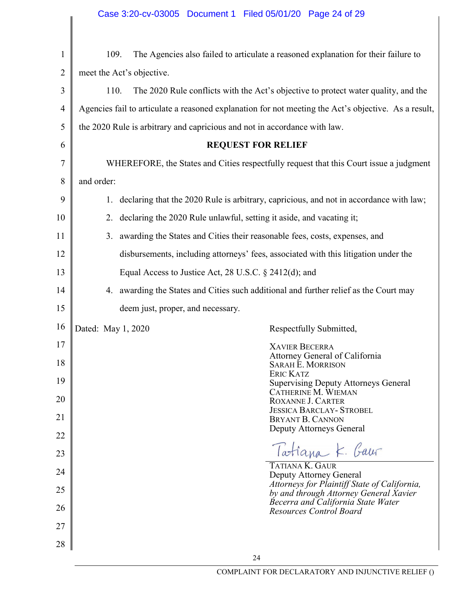|              | Case 3:20-cv-03005 Document 1 Filed 05/01/20 Page 24 of 29                                           |
|--------------|------------------------------------------------------------------------------------------------------|
|              |                                                                                                      |
| $\mathbf{1}$ | The Agencies also failed to articulate a reasoned explanation for their failure to<br>109.           |
| 2            | meet the Act's objective.                                                                            |
| 3            | 110.<br>The 2020 Rule conflicts with the Act's objective to protect water quality, and the           |
| 4            | Agencies fail to articulate a reasoned explanation for not meeting the Act's objective. As a result, |
| 5            | the 2020 Rule is arbitrary and capricious and not in accordance with law.                            |
| 6            | <b>REQUEST FOR RELIEF</b>                                                                            |
| 7            | WHEREFORE, the States and Cities respectfully request that this Court issue a judgment               |
| 8            | and order:                                                                                           |
| 9            | 1. declaring that the 2020 Rule is arbitrary, capricious, and not in accordance with law;            |
| 10           | 2. declaring the 2020 Rule unlawful, setting it aside, and vacating it;                              |
| 11           | 3. awarding the States and Cities their reasonable fees, costs, expenses, and                        |
| 12           | disbursements, including attorneys' fees, associated with this litigation under the                  |
| 13           | Equal Access to Justice Act, 28 U.S.C. § 2412(d); and                                                |
| 14           | 4. awarding the States and Cities such additional and further relief as the Court may                |
| 15           | deem just, proper, and necessary.                                                                    |
| 16           | Dated: May 1, 2020<br>Respectfully Submitted,                                                        |
| 17           | <b>XAVIER BECERRA</b><br>Attorney General of California                                              |
| 18           | <b>SARAH E. MORRISON</b><br><b>ERIC KATZ</b>                                                         |
| 19           | <b>Supervising Deputy Attorneys General</b><br>CATHERINE M. WIEMAN                                   |
| 20           | <b>ROXANNE J. CARTER</b><br><b>JESSICA BARCLAY- STROBEL</b>                                          |
| 21           | <b>BRYANT B. CANNON</b><br>Deputy Attorneys General                                                  |
| 22           |                                                                                                      |
| 23           | Tatiana K. Gaur<br>TATIANA K. GAUR                                                                   |
| 24           | Deputy Attorney General<br>Attorneys for Plaintiff State of California,                              |
| 25           | by and through Attorney General Xavier<br>Becerra and California State Water                         |
| 26           | <b>Resources Control Board</b>                                                                       |
| 27           |                                                                                                      |
| 28           | 24                                                                                                   |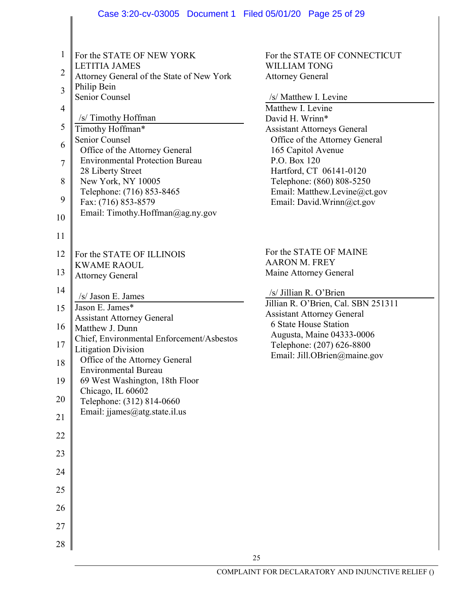|                | Case 3:20-cv-03005 Document 1 Filed 05/01/20 Page 25 of 29 |                                                           |  |  |
|----------------|------------------------------------------------------------|-----------------------------------------------------------|--|--|
|                |                                                            |                                                           |  |  |
|                |                                                            |                                                           |  |  |
| 1              | For the STATE OF NEW YORK                                  | For the STATE OF CONNECTICUT                              |  |  |
|                | <b>LETITIA JAMES</b>                                       | <b>WILLIAM TONG</b>                                       |  |  |
| $\overline{2}$ | Attorney General of the State of New York                  | <b>Attorney General</b>                                   |  |  |
|                | Philip Bein                                                |                                                           |  |  |
| 3              | Senior Counsel                                             | /s/ Matthew I. Levine                                     |  |  |
| $\overline{4}$ |                                                            | Matthew I. Levine                                         |  |  |
|                | /s/ Timothy Hoffman                                        | David H. Wrinn*                                           |  |  |
| 5              | Timothy Hoffman*                                           | <b>Assistant Attorneys General</b>                        |  |  |
| 6              | Senior Counsel                                             | Office of the Attorney General                            |  |  |
|                | Office of the Attorney General                             | 165 Capitol Avenue                                        |  |  |
| $\tau$         | <b>Environmental Protection Bureau</b>                     | P.O. Box 120                                              |  |  |
|                | 28 Liberty Street                                          | Hartford, CT 06141-0120                                   |  |  |
| 8              | New York, NY 10005                                         | Telephone: (860) 808-5250                                 |  |  |
| 9              | Telephone: (716) 853-8465<br>Fax: (716) 853-8579           | Email: Matthew.Levine@ct.gov<br>Email: David.Wrinn@ct.gov |  |  |
|                | Email: Timothy.Hoffman@ag.ny.gov                           |                                                           |  |  |
| 10             |                                                            |                                                           |  |  |
| 11             |                                                            |                                                           |  |  |
|                |                                                            |                                                           |  |  |
| 12             | For the STATE OF ILLINOIS                                  | For the STATE OF MAINE                                    |  |  |
|                | <b>KWAME RAOUL</b>                                         | <b>AARON M. FREY</b>                                      |  |  |
| 13             | <b>Attorney General</b>                                    | Maine Attorney General                                    |  |  |
| 14             |                                                            | /s/ Jillian R. O'Brien                                    |  |  |
|                | /s/ Jason E. James                                         | Jillian R. O'Brien, Cal. SBN 251311                       |  |  |
| 15             | Jason E. James*                                            | <b>Assistant Attorney General</b>                         |  |  |
| 16             | <b>Assistant Attorney General</b><br>Matthew J. Dunn       | 6 State House Station                                     |  |  |
|                | Chief, Environmental Enforcement/Asbestos                  | Augusta, Maine 04333-0006                                 |  |  |
| 17             | <b>Litigation Division</b>                                 | Telephone: (207) 626-8800                                 |  |  |
|                | Office of the Attorney General                             | Email: Jill.OBrien@maine.gov                              |  |  |
| 18             | <b>Environmental Bureau</b>                                |                                                           |  |  |
| 19             | 69 West Washington, 18th Floor                             |                                                           |  |  |
|                | Chicago, IL 60602                                          |                                                           |  |  |
| 20             | Telephone: (312) 814-0660                                  |                                                           |  |  |
| 21             | Email: jjames@atg.state.il.us                              |                                                           |  |  |
|                |                                                            |                                                           |  |  |
| 22             |                                                            |                                                           |  |  |
|                |                                                            |                                                           |  |  |
| 23             |                                                            |                                                           |  |  |
| 24             |                                                            |                                                           |  |  |
|                |                                                            |                                                           |  |  |
| 25             |                                                            |                                                           |  |  |
| 26             |                                                            |                                                           |  |  |
|                |                                                            |                                                           |  |  |
| 27             |                                                            |                                                           |  |  |
|                |                                                            |                                                           |  |  |
| 28             |                                                            |                                                           |  |  |
|                |                                                            | 25                                                        |  |  |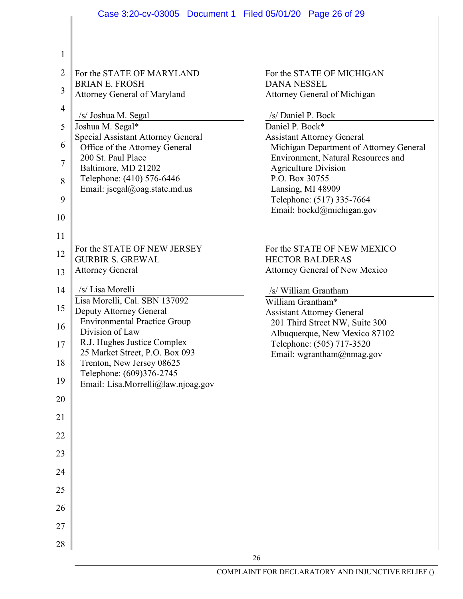|                | Case 3:20-cv-03005 Document 1 Filed 05/01/20 Page 26 of 29           |                                                                     |
|----------------|----------------------------------------------------------------------|---------------------------------------------------------------------|
|                |                                                                      |                                                                     |
|                |                                                                      |                                                                     |
| $\mathbf{1}$   |                                                                      |                                                                     |
| $\overline{2}$ | For the STATE OF MARYLAND                                            | For the STATE OF MICHIGAN                                           |
| 3              | <b>BRIAN E. FROSH</b>                                                | <b>DANA NESSEL</b>                                                  |
|                | Attorney General of Maryland                                         | Attorney General of Michigan                                        |
| $\overline{4}$ | /s/ Joshua M. Segal                                                  | /s/ Daniel P. Bock                                                  |
| 5              | Joshua M. Segal*                                                     | Daniel P. Bock*<br><b>Assistant Attorney General</b>                |
| 6              | Special Assistant Attorney General<br>Office of the Attorney General | Michigan Department of Attorney General                             |
| $\overline{7}$ | 200 St. Paul Place                                                   | Environment, Natural Resources and                                  |
|                | Baltimore, MD 21202<br>Telephone: (410) 576-6446                     | <b>Agriculture Division</b><br>P.O. Box 30755                       |
| 8              | Email: jsegal@oag.state.md.us                                        | Lansing, MI 48909                                                   |
| 9              |                                                                      | Telephone: (517) 335-7664                                           |
| 10             |                                                                      | Email: bockd@michigan.gov                                           |
| 11             |                                                                      |                                                                     |
|                | For the STATE OF NEW JERSEY                                          | For the STATE OF NEW MEXICO                                         |
| 12             | <b>GURBIR S. GREWAL</b>                                              | <b>HECTOR BALDERAS</b>                                              |
| 13             | <b>Attorney General</b>                                              | Attorney General of New Mexico                                      |
| 14             | /s/ Lisa Morelli                                                     | /s/ William Grantham                                                |
| 15             | Lisa Morelli, Cal. SBN 137092                                        | William Grantham*                                                   |
|                | Deputy Attorney General<br><b>Environmental Practice Group</b>       | <b>Assistant Attorney General</b><br>201 Third Street NW, Suite 300 |
| 16             | Division of Law                                                      | Albuquerque, New Mexico 87102                                       |
| 17             | R.J. Hughes Justice Complex                                          | Telephone: (505) 717-3520                                           |
| 18             | 25 Market Street, P.O. Box 093<br>Trenton, New Jersey 08625          | Email: wgrantham@nmag.gov                                           |
| 19             | Telephone: (609)376-2745                                             |                                                                     |
|                | Email: Lisa.Morrelli@law.njoag.gov                                   |                                                                     |
| 20             |                                                                      |                                                                     |
| 21             |                                                                      |                                                                     |
| 22             |                                                                      |                                                                     |
| 23             |                                                                      |                                                                     |
| 24             |                                                                      |                                                                     |
| 25             |                                                                      |                                                                     |
| 26             |                                                                      |                                                                     |
| 27             |                                                                      |                                                                     |
| 28             |                                                                      |                                                                     |
|                |                                                                      | 26                                                                  |
|                |                                                                      |                                                                     |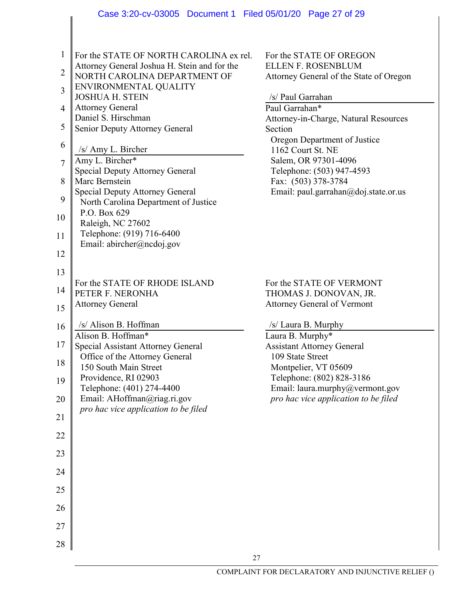|                                | Case 3:20-cv-03005 Document 1 Filed 05/01/20 Page 27 of 29                                                              |                                                                                                 |
|--------------------------------|-------------------------------------------------------------------------------------------------------------------------|-------------------------------------------------------------------------------------------------|
|                                |                                                                                                                         |                                                                                                 |
| $\mathbf{1}$<br>$\overline{2}$ | For the STATE OF NORTH CAROLINA ex rel.<br>Attorney General Joshua H. Stein and for the<br>NORTH CAROLINA DEPARTMENT OF | For the STATE OF OREGON<br><b>ELLEN F. ROSENBLUM</b><br>Attorney General of the State of Oregon |
| 3                              | ENVIRONMENTAL QUALITY                                                                                                   |                                                                                                 |
| $\overline{4}$                 | <b>JOSHUA H. STEIN</b><br><b>Attorney General</b>                                                                       | /s/ Paul Garrahan<br>Paul Garrahan*                                                             |
| 5                              | Daniel S. Hirschman<br>Senior Deputy Attorney General                                                                   | Attorney-in-Charge, Natural Resources<br>Section                                                |
| 6                              |                                                                                                                         | Oregon Department of Justice                                                                    |
| $\overline{7}$                 | /s/ Amy L. Bircher<br>Amy L. Bircher*                                                                                   | 1162 Court St. NE<br>Salem, OR 97301-4096                                                       |
| 8                              | Special Deputy Attorney General<br>Marc Bernstein                                                                       | Telephone: (503) 947-4593<br>Fax: (503) 378-3784                                                |
|                                | <b>Special Deputy Attorney General</b>                                                                                  | Email: paul.garrahan@doj.state.or.us                                                            |
| 9                              | North Carolina Department of Justice<br>P.O. Box 629                                                                    |                                                                                                 |
| 10                             | Raleigh, NC 27602                                                                                                       |                                                                                                 |
| 11                             | Telephone: (919) 716-6400<br>Email: abircher@ncdoj.gov                                                                  |                                                                                                 |
| 12                             |                                                                                                                         |                                                                                                 |
| 13                             | For the STATE OF RHODE ISLAND                                                                                           | For the STATE OF VERMONT                                                                        |
| 14                             | PETER F. NERONHA                                                                                                        | THOMAS J. DONOVAN, JR.                                                                          |
| 15                             | <b>Attorney General</b>                                                                                                 | <b>Attorney General of Vermont</b>                                                              |
| 16                             | /s/ Alison B. Hoffman<br>Alison B. Hoffman*                                                                             | /s/ Laura B. Murphy<br>Laura B. Murphy*                                                         |
| 17                             | Special Assistant Attorney General                                                                                      | <b>Assistant Attorney General</b>                                                               |
| 18                             | Office of the Attorney General<br>150 South Main Street                                                                 | 109 State Street<br>Montpelier, VT 05609                                                        |
| 19                             | Providence, RI 02903<br>Telephone: (401) 274-4400                                                                       | Telephone: (802) 828-3186<br>Email: laura.murphy@vermont.gov                                    |
| 20                             | Email: AHoffman@riag.ri.gov                                                                                             | pro hac vice application to be filed                                                            |
| 21                             | pro hac vice application to be filed                                                                                    |                                                                                                 |
| 22                             |                                                                                                                         |                                                                                                 |
| 23                             |                                                                                                                         |                                                                                                 |
| 24                             |                                                                                                                         |                                                                                                 |
| 25                             |                                                                                                                         |                                                                                                 |
| 26                             |                                                                                                                         |                                                                                                 |
|                                |                                                                                                                         |                                                                                                 |
| 27                             |                                                                                                                         |                                                                                                 |
| 28                             | 27                                                                                                                      |                                                                                                 |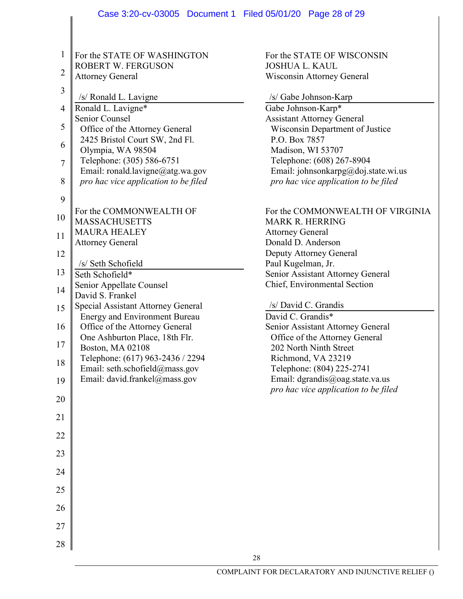|                | Case 3:20-cv-03005 Document 1 Filed 05/01/20 Page 28 of 29                 |                                                                             |
|----------------|----------------------------------------------------------------------------|-----------------------------------------------------------------------------|
|                |                                                                            |                                                                             |
| 1              | For the STATE OF WASHINGTON                                                | For the STATE OF WISCONSIN                                                  |
| $\overline{2}$ | ROBERT W. FERGUSON<br><b>Attorney General</b>                              | <b>JOSHUA L. KAUL</b><br>Wisconsin Attorney General                         |
| 3              | /s/ Ronald L. Lavigne                                                      | /s/ Gabe Johnson-Karp                                                       |
| $\overline{4}$ | Ronald L. Lavigne*                                                         | Gabe Johnson-Karp*                                                          |
| 5              | Senior Counsel<br>Office of the Attorney General                           | <b>Assistant Attorney General</b><br>Wisconsin Department of Justice        |
| 6              | 2425 Bristol Court SW, 2nd Fl.                                             | P.O. Box 7857                                                               |
| $\tau$         | Olympia, WA 98504<br>Telephone: (305) 586-6751                             | Madison, WI 53707<br>Telephone: (608) 267-8904                              |
| 8              | Email: ronald.lavigne@atg.wa.gov<br>pro hac vice application to be filed   | Email: johnsonkarpg@doj.state.wi.us<br>pro hac vice application to be filed |
| 9              |                                                                            |                                                                             |
| 10             | For the COMMONWEALTH OF<br><b>MASSACHUSETTS</b>                            | For the COMMONWEALTH OF VIRGINIA<br><b>MARK R. HERRING</b>                  |
| 11             | <b>MAURA HEALEY</b>                                                        | <b>Attorney General</b>                                                     |
|                | <b>Attorney General</b>                                                    | Donald D. Anderson                                                          |
| 12             |                                                                            | Deputy Attorney General                                                     |
| 13             | /s/ Seth Schofield<br>Seth Schofield*                                      | Paul Kugelman, Jr.<br>Senior Assistant Attorney General                     |
| 14             | Senior Appellate Counsel                                                   | Chief, Environmental Section                                                |
|                | David S. Frankel                                                           |                                                                             |
| 15             | Special Assistant Attorney General<br><b>Energy and Environment Bureau</b> | /s/ David C. Grandis<br>David C. Grandis*                                   |
| 16             | Office of the Attorney General                                             | Senior Assistant Attorney General                                           |
| $17\,$         | One Ashburton Place, 18th Flr.<br>Boston, MA 02108                         | Office of the Attorney General<br>202 North Ninth Street                    |
| 18             | Telephone: (617) 963-2436 / 2294                                           | Richmond, VA 23219                                                          |
| 19             | Email: seth.schofield@mass.gov<br>Email: david.frankel@mass.gov            | Telephone: (804) 225-2741<br>Email: dgrandis@oag.state.va.us                |
| 20             |                                                                            | pro hac vice application to be filed                                        |
| 21             |                                                                            |                                                                             |
| 22             |                                                                            |                                                                             |
| 23             |                                                                            |                                                                             |
| 24             |                                                                            |                                                                             |
| 25             |                                                                            |                                                                             |
| 26             |                                                                            |                                                                             |
| 27             |                                                                            |                                                                             |
| 28             |                                                                            |                                                                             |